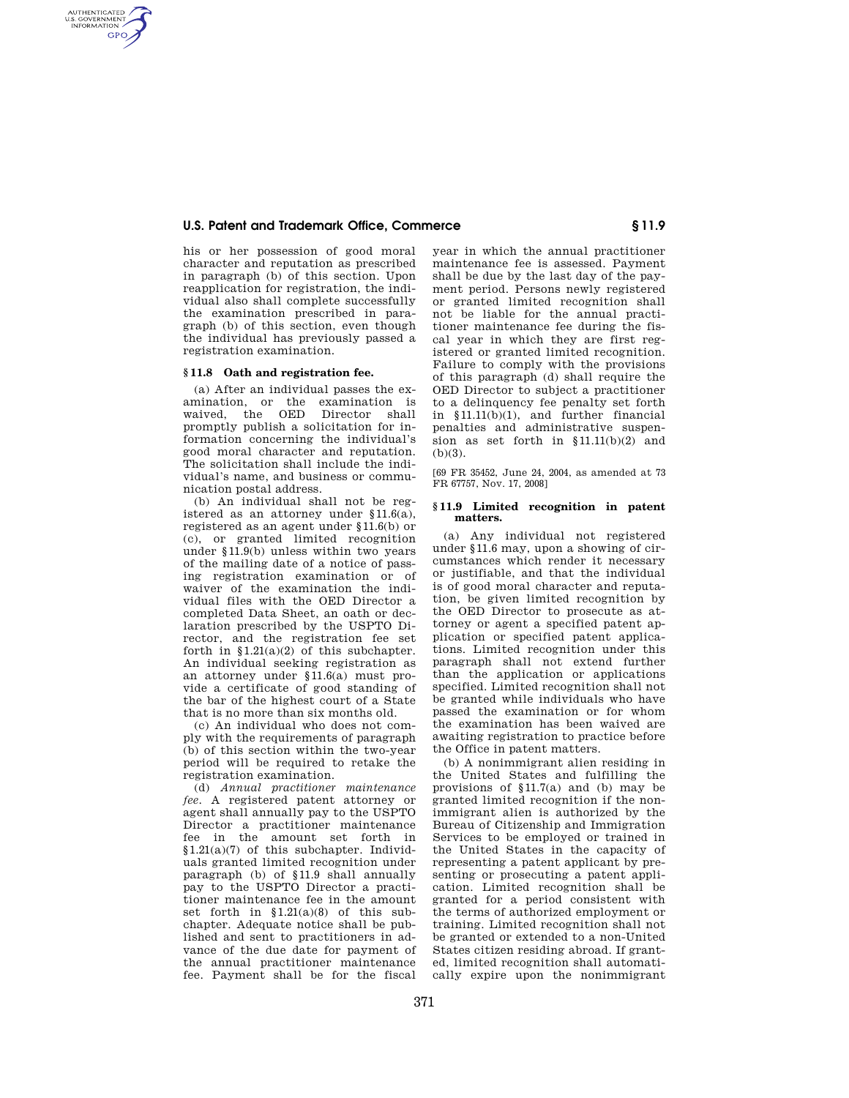# **U.S. Patent and Trademark Office, Commerce § 11.9**

his or her possession of good moral character and reputation as prescribed in paragraph (b) of this section. Upon reapplication for registration, the individual also shall complete successfully the examination prescribed in paragraph (b) of this section, even though the individual has previously passed a registration examination.

# **§ 11.8 Oath and registration fee.**

AUTHENTICATED<br>U.S. GOVERNMENT<br>INFORMATION **GPO** 

> (a) After an individual passes the examination, or the examination is waived, the OED promptly publish a solicitation for information concerning the individual's good moral character and reputation. The solicitation shall include the individual's name, and business or communication postal address.

> (b) An individual shall not be registered as an attorney under §11.6(a), registered as an agent under §11.6(b) or (c), or granted limited recognition under §11.9(b) unless within two years of the mailing date of a notice of passing registration examination or of waiver of the examination the individual files with the OED Director a completed Data Sheet, an oath or declaration prescribed by the USPTO Director, and the registration fee set forth in  $$1.21(a)(2)$  of this subchapter. An individual seeking registration as an attorney under §11.6(a) must provide a certificate of good standing of the bar of the highest court of a State that is no more than six months old.

> (c) An individual who does not comply with the requirements of paragraph (b) of this section within the two-year period will be required to retake the registration examination.

> (d) *Annual practitioner maintenance fee*. A registered patent attorney or agent shall annually pay to the USPTO Director a practitioner maintenance fee in the amount set forth in §1.21(a)(7) of this subchapter. Individuals granted limited recognition under paragraph (b) of §11.9 shall annually pay to the USPTO Director a practitioner maintenance fee in the amount set forth in §1.21(a)(8) of this subchapter. Adequate notice shall be published and sent to practitioners in advance of the due date for payment of the annual practitioner maintenance fee. Payment shall be for the fiscal

year in which the annual practitioner maintenance fee is assessed. Payment shall be due by the last day of the payment period. Persons newly registered or granted limited recognition shall not be liable for the annual practitioner maintenance fee during the fiscal year in which they are first registered or granted limited recognition. Failure to comply with the provisions of this paragraph (d) shall require the OED Director to subject a practitioner to a delinquency fee penalty set forth in §11.11(b)(1), and further financial penalties and administrative suspension as set forth in §11.11(b)(2) and (b)(3).

[69 FR 35452, June 24, 2004, as amended at 73 FR 67757, Nov. 17, 2008]

### **§ 11.9 Limited recognition in patent matters.**

(a) Any individual not registered under §11.6 may, upon a showing of circumstances which render it necessary or justifiable, and that the individual is of good moral character and reputation, be given limited recognition by the OED Director to prosecute as attorney or agent a specified patent application or specified patent applications. Limited recognition under this paragraph shall not extend further than the application or applications specified. Limited recognition shall not be granted while individuals who have passed the examination or for whom the examination has been waived are awaiting registration to practice before the Office in patent matters.

(b) A nonimmigrant alien residing in the United States and fulfilling the provisions of  $$11.7(a)$  and (b) may be granted limited recognition if the nonimmigrant alien is authorized by the Bureau of Citizenship and Immigration Services to be employed or trained in the United States in the capacity of representing a patent applicant by presenting or prosecuting a patent application. Limited recognition shall be granted for a period consistent with the terms of authorized employment or training. Limited recognition shall not be granted or extended to a non-United States citizen residing abroad. If granted, limited recognition shall automatically expire upon the nonimmigrant